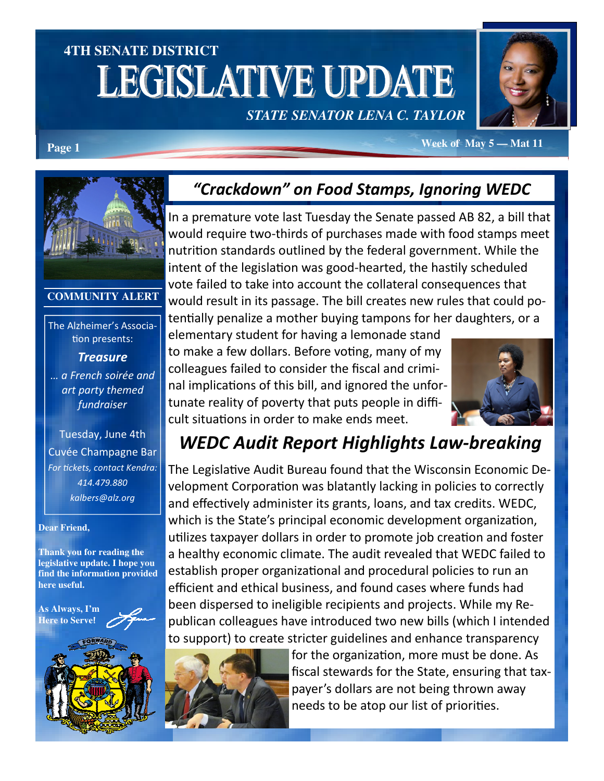# **4TH SENATE DISTRICT LEGISLATIVE UPDATE** *STATE SENATOR LENA C. TAYLOR*



**Page 1** *Week of May 5 — Mat 11* 



#### **COMMUNITY ALERT**

The Alzheimer's Associa tion presents:

**Treasure** … a French soirée and art party themed fundraiser

Tuesday, June 4th Cuvée Champagne Bar For tickets, contact Kendra: 414.479.880 kalbers@alz.org

#### **Dear Friend,**

**Thank you for reading the legislative update. I hope you find the information provided here useful.** 

**As Always, I'm Here to Serve**!



## "Crackdown" on Food Stamps, Ignoring WEDC

In a premature vote last Tuesday the Senate passed AB 82, a bill that would require two-thirds of purchases made with food stamps meet nutrition standards outlined by the federal government. While the intent of the legislation was good-hearted, the hastily scheduled vote failed to take into account the collateral consequences that would result in its passage. The bill creates new rules that could potentially penalize a mother buying tampons for her daughters, or a

elementary student for having a lemonade stand to make a few dollars. Before voting, many of my colleagues failed to consider the fiscal and criminal implications of this bill, and ignored the unfortunate reality of poverty that puts people in difficult situations in order to make ends meet.



# WEDC Audit Report Highlights Law-breaking

The Legislative Audit Bureau found that the Wisconsin Economic Development Corporation was blatantly lacking in policies to correctly and effectively administer its grants, loans, and tax credits. WEDC, which is the State's principal economic development organization, utilizes taxpayer dollars in order to promote job creation and foster a healthy economic climate. The audit revealed that WEDC failed to establish proper organizational and procedural policies to run an efficient and ethical business, and found cases where funds had been dispersed to ineligible recipients and projects. While my Republican colleagues have introduced two new bills (which I intended to support) to create stricter guidelines and enhance transparency



for the organization, more must be done. As fiscal stewards for the State, ensuring that taxpayer's dollars are not being thrown away needs to be atop our list of priorities.